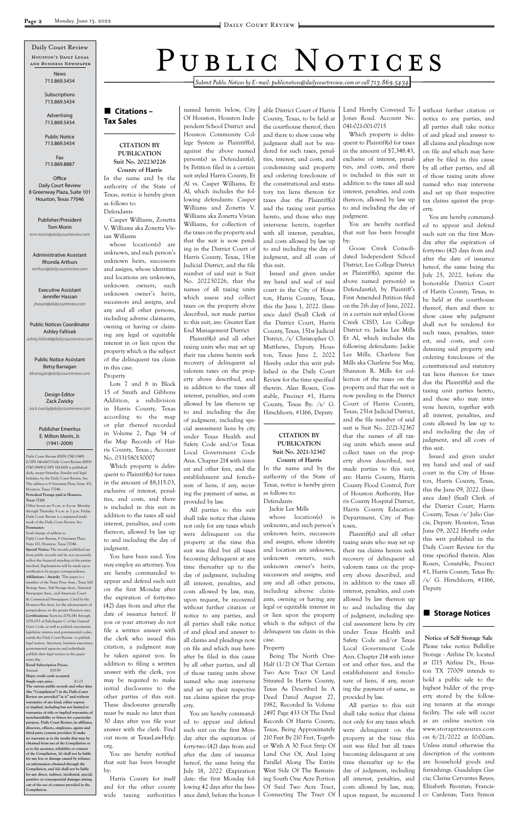*Submit Public Notices by E-mail: publicnotices@dailycourtreview.com or call 713.869.5434*

#### n **Citations – Tax Sales**

#### **CITATION BY PUBLICATION Suit No. 202230226**

**County of Harris** In the name and by the authority of the State of Texas, notice is hereby given as follows to: Defendants

Casper Williams, Zonetta V. Williams aka Zonetta Vivian Williams

whose location(s) are unknown, and such person's unknown heirs, successors and assigns, whose identities and locations are unknown, unknown owners, such unknown owner's heirs, successors and assigns, and any and all other persons, including adverse claimants, owning or having or claiming any legal or equitable interest in or lien upon the property which is the subject of the delinquent tax claim in this case. Property

Lots 7 and 8 in Block 15 of Smith and Gibbons Addition, a subdivision in Harris County, Texas according to the map or plat thereof recorded in Volume 2, Page 54 of the Map Records of Harris County, Texas.; Account No. 0331580150007

Which property is delinquent to Plaintiff(s) for taxes in the amount of \$8,115.03, exclusive of interest, penalties, and costs, and there is included in this suit in addition to the taxes all said interest, penalties, and costs thereon, allowed by law up to and including the day of judgment.

You have been sued. You may employ an attorney. You are hereby commanded to appear and defend such suit on the first Monday after the expiration of forty-two

(42) days from and after the date of issuance hereof. If you or your attorney do not file a written answer with the clerk who issued this citation, a judgment may be taken against you. In addition to filing a written answer with the clerk, you may be required to make initial disclosures to the other parties of this suit. These disclosures generally must be made no later than 30 days after you file your answer with the clerk. Find out more at TexasLawHelp. org.

You are hereby notified that suit has been brought by:

Harris County for itself and for the other county wide taxing authorities named herein below, City Of Houston, Houston Independent School District and Houston Community College System as Plaintiff(s), against the above named person(s) as Defendant(s), by Petition filed in a certain suit styled Harris County, Et Al vs. Casper Williams, Et Al, which includes the following defendants: Casper Williams and Zonetta V. Williams aka Zonetta Vivian Williams, for collection of the taxes on the property and that the suit is now pending in the District Court of Harris County, Texas, 151st Judicial District, and the file number of said suit is Suit No. 202230226, that the names of all taxing units which assess and collect taxes on the property above described, not made parties to this suit, are: Greater East End Management District

Plaintiff(s) and all other taxing units who may set up their tax claims herein seek recovery of delinquent ad valorem taxes on the property above described, and in addition to the taxes all interest, penalties, and costs allowed by law thereon up to and including the day of judgment, including special assessment liens by city under Texas Health and Safety Code and/or Texas Local Government Code Ann. Chapter 214 with interest and other fees, and the establishment and foreclosure of liens, if any, securing the payment of same, as provided by law.

All parties to this suit shall take notice that claims not only for any taxes which were delinquent on the property at the time this suit was filed but all taxes becoming delinquent at any time thereafter up to the day of judgment, including all interest, penalties, and costs allowed by law, may, upon request, be recovered without further citation or notice to any parties, and all parties shall take notice of and plead and answer to all claims and pleadings now on file and which may hereafter be filed in this cause by all other parties, and all of those taxing units above named who may intervene and set up their respective tax claims against the property. You are hereby commanded to appear and defend such suit on the first Monday after the expiration of forty-two (42) days from and after the date of issuance hereof, the same being the July 18, 2022 (Expiration date: the first Monday following 42 days after the Issuance date), before the honor-

able District Court of Harris County, Texas, to be held at the courthouse thereof, then and there to show cause why judgment shall not be rendered for such taxes, penalties, interest, and costs, and condemning said property and ordering foreclosure of the constitutional and statutory tax liens thereon for taxes due the Plaintiff(s) and the taxing unit parties hereto, and those who may intervene herein, together with all interest, penalties, and costs allowed by law up to and including the day of judgment, and all costs of this suit.

Issued and given under my hand and seal of said court in the City of Houston, Harris County, Texas, this the June 1, 2022. (Issuance date) (Seal) Clerk of the District Court, Harris County, Texas, 151st Judicial District, /s/ Christopher O. Matthews, Deputy. Houston, Texas June 2, 2022 Hereby order this writ published in the Daily Court Review for the time specified therein. Alan Rosen, Constable, Precinct #1, Harris County, Texas By: /s/ G. Hirschhorn, #1166, Deputy

#### **CITATION BY PUBLICATION Suit No. 2021-32367 County of Harris**

In the name and by the authority of the State of Texas, notice is hereby given as follows to: Defendants

Jackie Lee Mills

whose location(s) is unknown, and such person's unknown heirs, successors and assigns, whose identity and location are unknown, unknown owners, such unknown owner's heirs, successors and assigns, and any and all other persons, including adverse claimants, owning or having any legal or equitable interest in or lien upon the property which is the subject of the delinquent tax claim in this case.

Property

Being The North One-Half (1/2) Of That Certain Two Acre Tract Of Land Situated In Harris County, Texas As Described In A Deed Dated August 27, 1982, Recorded In Volume 2497 Page 433 Of The Deed Records Of Harris County, Texas, Being Approximately 210 Feet By 210 Feet, Together With A 30 Foot Strip Of Land Out Of, And Lying Parallel Along The Entire West Side Of The Remaining South One Acre Portion Of Said Two Acre Tract, Connecting The Tract Of

#### ■ Storage Notices

Land Hereby Conveyed To Jones Road. Account No. 041-021-001-0715

Which property is delinquent to Plaintiff(s) for taxes in the amount of \$7,348.43, exclusive of interest, penalties, and costs, and there is included in this suit in addition to the taxes all said interest, penalties, and costs thereon, allowed by law up to and including the day of judgment.

**Office** Daily Court Review 8 Greenway Plaza, Suite 101 Houston, Texas 77046

> You are hereby notified that suit has been brought by:

Goose Creek Consolidated Independent School District, Lee College District as Plaintiff(s), against the above named person(s) as Defendant(s), by Plaintiff's First Amended Petition filed on the 7th day of June, 2022, in a certain suit styled Goose Creek CISD, Lee College District vs. Jackie Lee Mills Et Al, which includes the following defendants: Jackie Lee Mills, Charlene Sue Mills aka Charlene Sue May, Shannon R. Mills for collection of the taxes on the property and that the suit is now pending in the District Court of Harris County, Texas, 251st Judicial District, and the file number of said suit is Suit No. 2021-32367 that the names of all taxing units which assess and collect taxes on the property above described, not made parties to this suit, are: Harris County, Harris County Flood Control, Port of Houston Authority, Harris County Hospital District, Harris County Education Department, City of Baytown.

Plaintiff(s) and all other taxing units who may set up their tax claims herein seek recovery of delinquent ad valorem taxes on the property above described, and in addition to the taxes all interest, penalties, and costs allowed by law thereon up to and including the day of judgment, including special assessment liens by city under Texas Health and Safety Code and/or Texas Local Government Code Ann. Chapter 214 with interest and other fees, and the establishment and foreclosure of liens, if any, securing the payment of same, as provided by law. All parties to this suit shall take notice that claims not only for any taxes which were delinquent on the property at the time this suit was filed but all taxes becoming delinquent at any time thereafter up to the day of judgment, including all interest, penalties, and costs allowed by law, may, upon request, be recovered

without further citation or notice to any parties, and all parties shall take notice of and plead and answer to all claims and pleadings now on file and which may hereafter be filed in this cause by all other parties, and all of those taxing units above named who may intervene and set up their respective tax claims against the property.

You are hereby commanded to appear and defend such suit on the first Monday after the expiration of forty-two (42) days from and after the date of issuance hereof, the same being the July 25, 2022, before the honorable District Court of Harris County, Texas, to be held at the courthouse thereof, then and there to show cause why judgment shall not be rendered for such taxes, penalties, interest, and costs, and condemning said property and ordering foreclosure of the constitutional and statutory tax liens thereon for taxes due the Plaintiff(s) and the taxing unit parties hereto, and those who may intervene herein, together with all interest, penalties, and costs allowed by law up to and including the day of judgment, and all costs of this suit.

Issued and given under my hand and seal of said court in the City of Houston, Harris County, Texas, this the June 09, 2022. (Issuance date) (Seal) Clerk of the District Court, Harris County, Texas /s/ Julio Garcia, Deputy. Houston, Texas June 09, 2022 Hereby order this writ published in the Daily Court Review for the time specified therein. Alan Rosen, Constable, Precinct #1, Harris County, Texas By:  $\sqrt{s}$  G. Hirschhorn, #1166, Deputy

**Notice of Self Storage Sale** Please take notice BullsEye Storage - Airline Dr. located at 1715 Airline Dr., Houston TX 77009 intends to hold a public sale to the highest bidder of the property stored by the following tenants at the storage facility. The sale will occur as an online auction via www.storagetreasures.com on 6/21/2022 at 10:00am. Unless stated otherwise the description of the contents are household goods and furnishings. Guadalupe Garcia; Clarisa Cervantes Reyes; Elizabeth Byoutan; Francisco Cardenas; Tiara Symon

Daily Court Review (ISSN 0740-1949) (USPS 146-660) Daily Court Review (ISSN 0740-1949) (USPS 142-660) is published daily, except Saturday, Sunday and legal holidays, by the Daily Court Review, Inc. The address is 8 Greenway Plaza, Suite 101, Houston, Texas 77046. **Periodical Postage paid at Houston, Texas 77201** Office hours are 9 a.m. to 4 p.m. Monday

through Thursday, 9 a.m. to 1 p.m. Friday. Daily Court Review is a registered trademark of the Daily Court Review, Inc. **Postmaster:**

Send change of address to Daily Court Review, 8 Greenway Plaza, Suite 101, Houston, Texas 77046. **Special Notice:** The records published are from public records and do not necessarily reflect the financial standing of the parties involved. Explanations will be made upon notification by proper correspondence. **Affiliations / Awards:** This paper is a member of the Texas Press Assn., Texas Self Storage Assn., Self Storage Assn., National Newspaper Assn., and American Court & Commercial Newspapers. Cited by the

# PUBLIC NOTICES

Houston's Daily Legal and Business Newspaper Daily Court Review

Houston Bar Assn. for the advancement of jurisprudence in the greater Houston area. **Certifications:** Sections 2051.041 through 2051.053 of Subchapter C of the General Govt. Code, as well as judicial enactments, legislative statutes and governmental codes, certify the Daily Court Review to publish legal notices. Attorneys, business executive governmental agencies and individuals publish their legal notices in the paper every day. **Retail Subscription Prices:** Annual \$19.99 **Major credit cards accepted. Single copy price.** \$1.25

**The various public records and other data (the "Compilation") in the Daily Court Review are provided "as is" and without warranties of any kind, either express or implied, including but not limited to warranties of title or implied warranties of merchantability or fitness for a particular purpose. Daily Court Review, its affiliates, directors, officers, employees, agents and third party content providers (i) make no warranty as to the results that may be obtained from use of the Compilation or**  as to the accuracy, reliability or cont **of the Compilation, (ii) shall not be liable for any loss or damage caused by reliance on information obtained through the Compilation, and (iii) shall not be liable for any direct, indirect, incidental, special, punitive or consequential damages arising out of the use of content provided in the Compilation.**

News 713.869.5434

Subscriptions 713.869.5434

Advertising 713.869.5434

Public Notice 713.869.5434

Fax 713.869.8887

Publisher/President Tom Morin *tom.morin@dailycourtreview.com*

Administrative Assistant Rhonda Arthurs *rarthurs@dailycourtreview.com*

Executive Assistant Jennifer Hassan *jhassan@dailycourtreview.com*

Public Notices Coordinator Ashley Faltisek *ashley.faltisek@dailycourtreview.com*

Public Notice Assistant Betsy Barragan *bbarragan@dailycourtreview.com*

Design Editor Zack Zwicky *zack.zwicky@dailycourtreview.com*

#### Publisher Emeritus E. Milton Morin, Jr. (1941-2009)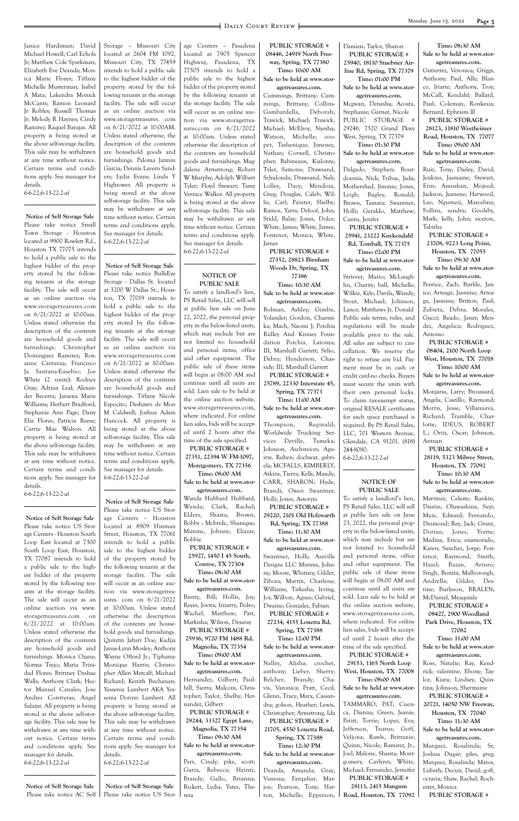Janice Hardiman; David Michael Howell; Carl Echols Jr; Matthew Cole Sparkman; Elizabeth Eve Deanda; Monica Marie Flores; Tiffany Michelle Musterman; Isabel A Mata; Lakendra Monick McCants; Ramon Leonard Jr Robles; Russell Thomas Jr; Melody R Haynes; Cindy Ramirez; Raquel Barajas. All property is being stored at the above self-storage facility. This sale may be withdrawn at any time without notice. Certain terms and conditions apply. See manager for details.

6-6-22;6-13-22-2-af

**Notice of Self Storage Sale** Please take notice Small Town Storage - Houston located at 9900 Rowlett Rd., Houston TX 77075 intends to hold a public sale to the highest bidder of the property stored by the following tenants at the storage facility. The sale will occur as an online auction via www.storagetreasures.com on 6/21/2022 at 10:00am. Unless stated otherwise the description of the contents are household goods and furnishings. Christopher Dominguez Ramirez; Roxanne Carranza; Francisco Ja Santana-Eusebio; Joe White (2 units); Rodney Gray; Adrian Leal; Alexander Becerra; Jaraena Marie Williams; Herbert Bradford; Stephanie Ann Page; Daisy Elia Flores; Patricia Reese; Carrie Mae Walton. All property is being stored at the above self-storage facility. This sale may be withdrawn at any time without notice. Certain terms and conditions apply. See manager for details. 6-6-22;6-13-22-2-af

**Notice of Self Storage Sale** Please take notice US Storage Centers - Houston South Loop East located at 7300 South Loop East, Houston, TX 77087 intends to hold a public sale to the highest bidder of the property stored by the following tenants at the storage facility. The sale will occur as an online auction via www. storagetreasures.com on 6/21/2022 at 10:00am. Unless stated otherwise the description of the contents are household goods and furnishings. Monica Ozane; Norma Trejo; Maria Trinidad Flores; Brittney Deshae Walls; Anthony Clark; Hector Manuel Canales; Jose Andres Contreras; Angel Salazar. All property is being stored at the above self-storage facility. This sale may be withdrawn at any time without notice. Certain terms and conditions apply. See manager for details. 6-6-22;6-13-22-2-af

**Notice of Self Storage Sale** Please take notice AC Self Storage – Missouri City located at 2604 FM 1092, Missouri City, TX 77459 intends to hold a public sale to the highest bidder of the property stored by the following tenants at the storage facility. The sale will occur as an online auction via www.storagetreasures. com on 6/21/2022 at 10:00AM. Unless stated otherwise, the description of the contents are household goods and furnishings. Paloma Jazmin Garcia; Dennis Lavern Sanders; Lydia Evans; Linda Y Hightower. All property is being stored at the above self-storage facility. This sale may be withdrawn at any time without notice. Certain terms and conditions apply. See manager for details. 6-6-22;6-13-22-2-af

**Notice of Self Storage Sale** Please take notice BullsEye Storage - Dallas St. located at 3200 W Dallas St., Houston, TX 77019 intends to hold a public sale to the highest bidder of the property stored by the following tenants at the storage facility. The sale will occur as an online auction via www.storagetreasures.com on 6/21/2022 at 10:00am. Unless stated otherwise the description of the contents are household goods and furnishings. Tiffany Nicole Espocito; Deshawn de Mon M Caldwell; Joshua Adam Hancock. All property is being stored at the above self-storage facility. This sale may be withdrawn at any time without notice. Certain terms and conditions apply. See manager for details. 6-6-22;6-13-22-2-af

#### **Notice of Self Storage Sale**

Please take notice US Storage Centers – Houston located at 8909 Hinman Street, Houston, TX 77061 intends to hold a public sale to the highest bidder of the property stored by the following tenants at the storage facility. The sale will occur as an online auction via www.storagetreasures. com on 6/21/2022 at 10:00am. Unless stated otherwise the description of the contents are household goods and furnishings. Quintin Jabari Doe; Kadija Janae-Lynn Mosley; Anthony Wayne Offord Jr.; Tiphanie Monique Harris; Christopher Allen Metcalf; Michael Richard; Kenith Buchanan; Yessenia Lambert AKA Yessenia Dorinn Lambert. All property is being stored at the above self-storage facility. This sale may be withdrawn at any time without notice. Certain terms and conditions apply. See manager for details. 6-6-22;6-13-22-2-af

**Notice of Self Storage Sale** Please take notice US Storage Centers – Pasadena located at 7905 Spencer Highway, Pasadena, TX 77505 intends to hold a public sale to the highest bidder of the property stored by the following tenants at the storage facility. The sale will occur as an online auction via www.storagetreasures.com on 6/21/2022 at 10:00am. Unless stated otherwise the description of the contents are household goods and furnishings. Magdalene Armstrong; Robert W Murphy; Adolph Wilbert Tyler; Floyd Stewart; Tamy Vernice Walker. All property is being stored at the above self-storage facility. This sale may be withdrawn at any time without notice. Certain terms and conditions apply. See manager for details. 6-6-22;6-13-22-2-af

#### **NOTICE OF PUBLIC SALE**

To satisfy a landlord's lien, PS Retail Sales, LLC will sell at public lien sale on June 22, 2022, the personal property in the below-listed units, which may include but are not limited to: household and personal items, office and other equipment. The public sale of these items will begin at 08:00 AM and continue until all units are sold. Lien sale to be held at the online auction website, www.storagetreasures.com, where indicated. For online lien sales, bids will be accepted until 2 hours after the time of the sale specified.

**PUBLIC STORAGE # 27351, 22394 W FM-1097, Montgomery, TX 77356 Time: 08:00 AM**

**Sale to be held at www.storagetreasures.com.**

Wanda Hubbard Hubbard, Wanda; Clark, Rachel; Elders, Shasta; Brown, Bobby ; Mcbride, Shanique; Mimms, Johnny; Eliazar, Bobbie

**PUBLIC STORAGE # 25927, 1450 I 45 South, Conroe, TX 77304 Time: 08:30 AM**

**Sale to be held at www.stor-**

**agetreasures.com.** Bunty, Bill; Hollis, Joy;

Reyes, Jovita; Irizarry, Pedro; Wachel, Matthew; Patt, Markisha; Wilson, Desaray **PUBLIC STORAGE # 25936, 9720 FM 1488 Rd, Magnolia, TX 77354 Time: 09:00 AM Sale to be held at www.storagetreasures.com.** Hernandez, Gilbert; Paulhill, Sierra; Malcom, Christopher; Taylor, Shelby; Hernandez, Gilbert **PUBLIC STORAGE # 29244, 33327 Egypt Lane, Magnolia, TX 77354 Time: 09:30 AM Sale to be held at www.storagetreasures.com.** Parr, Cindy; pike, scott; Garza, Rebecca; Heintz, Brandy; Gallo, Brianna; Rickett, Lydia; Yates, Theresa

**PUBLIC STORAGE # 08446, 24919 North Freeway, Spring, TX 77380**

**Time: 10:00 AM Sale to be held at www.storagetreasures.com.**

Cummings, Brittany; Cummings, Brittany; Collins-Gambardella, Deborah; Trawick, Michael; Trawick, Michael; McElroy, Nyesha; Watson, Michelle; cooper, Tashenique; Jimenez, Nathan; Corwell, Christopher; Babineaux, Kialonte; Tyler, Samone; Drawsand, Schulonda; Drawsand, Nali; Lolley, Dacy; Mendoza, Greg; Douglas, Caleb; Willis, Carl; Painter, Shelby; Ramos, Yarra; Deloof, John; Stidd, Balay; Jones, Dolce; White, James; White, James; Fontenot, Monica; White, James

**PUBLIC STORAGE # 27352, 28823 Birnham Woods Dr, Spring, TX 77386**

**Time: 10:30 AM Sale to be held at www.storagetreasures.com.**

Bolman, Ashley; Gimbu, Yolander; Gordon, Charmika; Mach, Naomi J; Porchia Ridley And Kinney Foundation Porchia, Latonya; III, Marshall Garrett; Selio, Debra; Henderson, Chassidy; III, Marshall Garrett

**PUBLIC STORAGE # 25789, 22330 Interstate 45, Spring, TX 77373 Time: 11:00 AM**

**Sale to be held at www.storagetreasures.com.**

Thompson, Reginald; Worldwide Trucking Services Deville, Tameka; Johnson, Aschsteion; Aguirre, Ruben; dochwat, gabriela; MCFALLS, KIMBERLY; Atkins, Tierra; Kelly, Mandy; CARR, SHARON; Hyde, Brandi; Owen Swantner, Holli; Jones, Astoryia

**PUBLIC STORAGE # 29220, 2101 Old Holzwarth Rd, Spring, TX 77388**

**Time: 11:30 AM Sale to be held at www.storagetreasures.com.**

Swantner, Holli; Aseville Designs LLC Mimms, Johnny; Moore, Whitney; Gilder, Zibora; Martin, Charlene; Williams, Tirkesha; Irving, Joi; Wilbon, Agnes; Gabriel, Dwaine; Gonzalez, Fabian **PUBLIC STORAGE # 27234, 4155 Louetta Rd, Spring, TX 77388 Time: 12:00 PM Sale to be held at www.storagetreasures.com.** Nalley, Alisha; crochet, anthony; Lieber, Sherry; Belcher, Brandy; Chavis, Varonica; Pratt, Cecil; Glenn, Tracy; Marx, Cassandra; golson, Heather; Lewis, Christopher; Armstrong, Ida **PUBLIC STORAGE # 21705, 4550 Louetta Road, Spring, TX 77388 Time: 12:30 PM Sale to be held at www.storagetreasures.com.** Deanda, Amanda; Gray, Vanessa; Farquhar, Marjoe; Pearson, Tony; Hatton, Michelle; Epperson,

Damien; Taylor, Sharon **PUBLIC STORAGE # 25940, 18110 Stuebner Airline Rd, Spring, TX 77379 Time: 01:00 PM**

**Sale to be held at www.storagetreasures.com.**

Mcgwan, Denesha; Acosta, Stephanie; Garner, Nicole PUBLIC STORAGE # 29246, 7520 Grand Pkwy West, Spring, TX 77379 **Time: 01:30 PM**

**Sale to be held at www.storagetreasures.com.**

Delgado, Stephen; Bourdoumis, Nick; Tribue, Jada; Mothershed, Jimmie; Jones, Leigh; Bagley, Ronald; Brown, Tamara; Swantner, Holli; Geraldo, Matthew; Cantu, Jenifer

**PUBLIC STORAGE # 25941, 23222 Kuykendahl Rd, Tomball, TX 77375 Time: 02:00 PM**

**Sale to be held at www.storagetreasures.com.**

Striever, Mario; McLaughlin, Charity; ball, Michelle; Wilkie, Kyle; Davila, Wendy; Stout, Michael; Johnson, Lance; Matthews Jr, Donald Public sale terms, rules, and regulations will be made available prior to the sale. All sales are subject to cancellation. We reserve the right to refuse any bid. Payment must be in cash or credit card-no checks. Buyers must secure the units with their own personal locks. To claim tax-exempt status, original RESALE certificates for each space purchased is required. By PS Retail Sales, LLC, 701 Western Avenue, Glendale, CA 91201. (818) 244-8080.

#### 6-6-22;6-13-22-2-af

#### **NOTICE OF PUBLIC SALE**

To satisfy a landlord's lien, PS Retail Sales, LLC will sell at public lien sale on June 23, 2022, the personal property in the below-listed units, which may include but are not limited to: household and personal items, office and other equipment. The public sale of these items will begin at 08:00 AM and continue until all units are sold. Lien sale to be held at the online auction website, www.storagetreasures.com, where indicated. For online lien sales, bids will be accepted until 2 hours after the time of the sale specified. **PUBLIC STORAGE # 29153, 1165 North Loop West, Houston, TX 77008 Time: 08:00 AM Sale to be held at www.storagetreasures.com.** TAMMARO, PAT; Cuenca, Dianna; Green, Jeanie; Petitt, Torrie; Lopez, Eva; Jefferson, Taurus; Goff, Veljona; Rawls, Brittanie; Quinn, Nicole; Ramirez, Jr., Joel; Malone, Shanta; Montgomery, Carlynn; White, Michael; Fernandez, Jennifer **PUBLIC STORAGE # 28113, 2415 Mangum Road, Houston, TX 77092**

**Time: 08:30 AM Sale to be held at www.storagetreasures.com.**

Gutierrez, Veronica; Griggs, Anthony; Paul, Ally; Blanco, Iriarte; Anthony, Troy; McCall, Kendahl; Ballard, Paul; Coleman, Ronkesia; Bernard, Ephraim lll

**PUBLIC STORAGE # 28123, 11810 Westheimer Road, Houston, TX 77077 Time: 09:00 AM**

**Sale to be held at www.storagetreasures.com.**

Ruiz, Tony; Dailey, David; Jenkins, Jasmaine; Stewart, Erin; Amushan, Mojeed; Jackson, Jeanene; Harwood, Lee; Ngumezi, Marcelina; Follins, sandra; Goolsby, Mark; kelly, John; siceron, Tabitha

**PUBLIC STORAGE # 23708, 9223 Long Point, Houston, TX 77055 Time: 09:30 AM**

**Sale to be held at www.storagetreasures.com.**

Penrice, Zach; Burlile, Janice; Arteaga, Jasmine; Arteaga, Jasmine; Britton, Paul; Zubieta, Debra; Morales, Gucci; Reado, Janet; Mendez, Angelica; Rodriguez, Antonio

**PUBLIC STORAGE # 08404, 2100 North Loop West, Houston, TX 77018**

**Time: 10:00 AM Sale to be held at www.stor-**

**agetreasures.com.** Monjaras, Larry; Broussard, Angela; Castillo, Raymond;

Morris, Jesse; Villanueva, Richard; Tramble, Charlotte; IDEUS, ROBERT L.; Ortiz, Oscar; Johnson, Antuan

**PUBLIC STORAGE # 28119, 5323 Milwee Street, Houston, TX 77092 Time: 10:30 AM**

**Sale to be held at www.stor-**

**agetreasures.com.** Martinez, Celeste; Rankin, Dustin; Oluwashina, Seyi; Maze, Edward; Fernando, Desmond; Rey, Jack; Grant, Dorian; Jones, Yvette; Medina, Erica; enamorado, Karen; Sanchez, Jorge; Fontenot, Raymond; Smith, Hazel; Bazan, Arturo; Singh, Bonita; Malborough, Andrella; Gilder, Destine; Burleson, BRALEN; McDaniel, Meaquiala

**PUBLIC STORAGE # 08427, 2900 Woodland Park Drive, Houston, TX 77082 Time: 11:00 AM Sale to be held at www.storagetreasures.com.** Ross, Natalie; Ray, Kendrick; valentine, Ebony; Taylor, Kiara; Lindsey, Quintina; Johnson, Shermaine **PUBLIC STORAGE # 20721, 14050 NW Freeway, Houston, TX 77040 Time: 11:30 AM Sale to be held at www.storagetreasures.com.** Marquez, Rosalinda; Sr, Joshua Dugar; giles, greg; Marquez, Rosalinda; Matos, Lizbeth; Decuir, David; goff, octavia; Shaw, Rachel; Rochester, Monica **PUBLIC STORAGE #**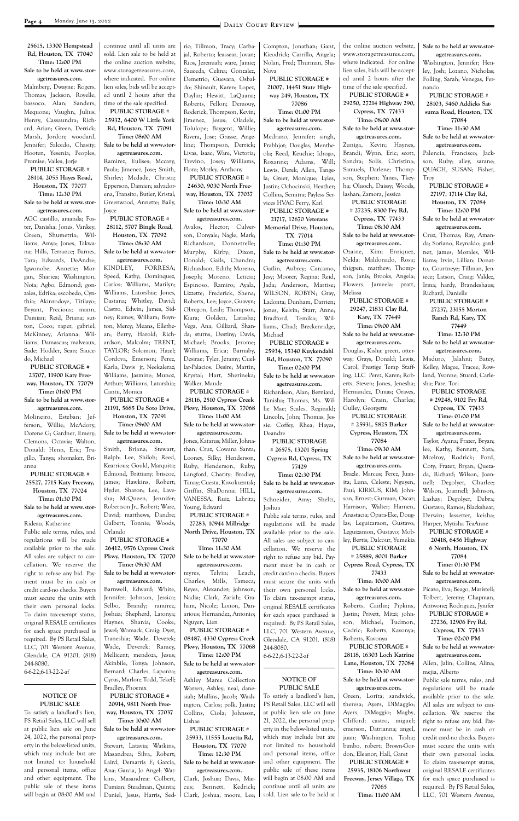#### **25615, 13300 Hempstead Rd, Houston, TX 77040 Time: 12:00 PM Sale to be held at www.stor-**

**agetreasures.com.**

Malmberg, Dwayne; Rogers, Thomas; Jackson, Royelle; bassoco, Alan; Sanders, Mequone; Vaughn, Julius; Henry, Cassaundra; Richard, Arian; Green, Derrick; Marsh, Jordon; woodard, Jennifer; Salcedo, Chasity; Hooten, Yesenia; Peoples, Promise; Valles, Jorje

#### **PUBLIC STORAGE # 28114, 2055 Hayes Road, Houston, TX 77077 Time: 12:30 PM Sale to be held at www.stor-**

### **agetreasures.com.**

AGC castillo, amanda; Foster, Danisha; Jones, Vankey; Green, Shumetria; Williams, Amya; Jones, Takwana; Hills, Terrance; Barnes, Tara; Edwards, DeAndre; Igwonobe, Annette; Morgan, Shariea; Washington, Noia; Agbo, Edmond; gonzales, Edrika; escobedo, Cynthia; Akinrodoye, Titilayo; Bryant, Precious; mann, Damian; Reid, Briana; sutton, Coco; raper, gabriel; McKinney, Arianna; Williams, Damascus; malveaux, Sade; Hodder, Sean; Saucedo, Michael

**PUBLIC STORAGE # 23707, 11900 Katy Freeway, Houston, TX 77079 Time: 01:00 PM**

#### **Sale to be held at www.storagetreasures.com.**

Molineiro, Esteban; Jefferson, Willie; McAdory, Dorene G; Gardner, Emery; Clemons, Octavia; Walton, Donald; Henn, Eric; Trugillo, Tanya; shomaker, Brianna

**PUBLIC STORAGE # 25527, 7715 Katy Freeway, Houston, TX 77024 Time: 01:30 PM Sale to be held at www.storagetreasures.com.**

Rideau, Katherine

Public sale terms, rules, and regulations will be made available prior to the sale. All sales are subject to cancellation. We reserve the right to refuse any bid. Payment must be in cash or credit card-no checks. Buyers must secure the units with

their own personal locks. To claim tax-exempt status, original RESALE certificates for each space purchased is required. By PS Retail Sales, LLC, 701 Western Avenue, Glendale, CA 91201. (818) 244-8080. 6-6-22;6-13-22-2-af

#### **NOTICE OF PUBLIC SALE**

To satisfy a landlord's lien, PS Retail Sales, LLC will sell at public lien sale on June 24, 2022, the personal property in the below-listed units, which may include but are not limited to: household and personal items, office and other equipment. The public sale of these items will begin at 08:00 AM and continue until all units are sold. Lien sale to be held at the online auction website, www.storagetreasures.com, where indicated. For online lien sales, bids will be accepted until 2 hours after the time of the sale specified. **PUBLIC STORAGE #** 

**25932, 6400 W Little York Rd, Houston, TX 77091 Time: 08:00 AM**

**Sale to be held at www.storagetreasures.com.**

Ramirez, Eulises; Mccary, Paula; Jimenez, Jose; Smith, Shirley; Mcdade, Christa; Epperson, Damien; salvadorena, Transito; Butler, Kristal; Greenwood, Annette; Baily, Joyce

#### **PUBLIC STORAGE # 28112, 5707 Bingle Road,**

#### **Houston, TX 77092 Time: 08:30 AM**

#### **Sale to be held at www.storagetreasures.com.**

KINDLEY, FORRESA; Speed, Kathy; Dominquez, Carlos; Williams, Marilyn; Williams, Latorshia; Jones, Dastana; Whitley, David; Castro, Edwin; James, Sidney; Ramey, William; Boynton, Mercy; Means, Ellethean; Berry, Harold; Richardson, Malcolm; TRENT, TAYLOR; Solomon, Hazel; Cordova, Emerson; Perez, Karla; Davis jr, Neekaleraz; Williams, Jasmine; Munoz, Arthur; Williams, Latorshia; Cantu, Monica

**PUBLIC STORAGE # 21191, 5685 De Soto Drive, Houston, TX 77091**

**Time: 09:00 AM**

**Sale to be held at www.storagetreasures.com.**

Smith, Briana; Stewart, Ralph; Lee, Shiloh; Reed, Kearrious; Gould, Marquita; Edmond, Brittiany; briscoe, james; Hawkins, Robert; Hyder, Sharon; Lee, Lavesha; McQueen, Jennifer; Robertson Jr., Robert; Ware, David; matthews, Dandre; Galbert, Tonnie; Woods, Orlando

**PUBLIC STORAGE # 26412, 9576 Cypress Creek Pkwy, Houston, TX 77070 Time: 09:30 AM**

**Sale to be held at www.storagetreasures.com.**

Barnwell, Edward; White, Jennifer; Johnson, Jessica;

Selbo, Brandy; ramirez, Joshua; Shepherd, Latonya; Haynes, Shania; Cooke, Jewel; Womack, Craig; Dyer, Traneshia; Wade, Deverek; Wade, Deverek; Ramey, Mellicent; mendoza, Jesus; Akinbile, Tonya; Johnson, Bernard; Charles, Laponza; Cyrus, Marlon; Todd, Tekell; Bradley, Phoenix **PUBLIC STORAGE # 20914, 9811 North Freeway, Houston, TX 77037 Time: 10:00 AM Sale to be held at www.storagetreasures.com.** Stewart, Latavia; Watkins, Masandrea; Silva, Robert; Laird, Demarris F; Garcia, Ana; Garcia, Jo Angel; Watkins, Masandrea; Colbert, Damian; Steadman, Quinta; Daniel, Jesus; Harris, Sed-

ric; Tillmon, Tracy; Carbajal, Roberto; leassear, Jovan; Rios, Jeremiah; ware, Jamie; Sauceda, Celina; Gonzalez, Demetrio; Guevara, Osbaldo; Shinault, Karen; Lopez, Daylin; Hewitt, LaQuana; Roberts, Fellon; Demouy, Roderick; Thompson, Kevin; Jimenez, Jesus; Oladele, Tolulope; Baygent, Willie; Rivera, Jose; Grasse, Angeline; Thompson, Derrick; Livas, Isaac; Ware, Victoria; Trevino, Josey; Williams, Flora; Motley, Anthony

**PUBLIC STORAGE # 24630, 9030 North Freeway, Houston, TX 77037 Time: 10:30 AM**

**Sale to be held at www.storagetreasures.com.**

Avalos, Hector; Culverson, Donyale; Nagle, Mark; Richardson, Donnetrelle; Murphy, Kirby; Dixon, Donald; Gails, Chandra; Richardson, Edith; Moreno, Joseph; Moreno, Leticia; Espinoso, Ramiro; Ayala, Lizzette; Frederick, Shena; Roberts, Lee; Joyce, Guavyn; Obregon, Leah; Thompson, Kiara; Golden, Latasha; Vega, Ana; Gilliard, Shanda; sturns, Destiny; Davis, Michael; Brooks, Jerome; Williams, Erica; Barnaby, Desirae; Tyler, Jeramy; Cuellar-Palacios, Desire; Martin, Krystal; Hart, Sherineka; Walker, Maude

**PUBLIC STORAGE # 28116, 2510 Cypress Creek Pkwy, Houston, TX 77068 Time: 11:00 AM**

**Sale to be held at www.storagetreasures.com.**

Jones, Katarus; Miller, Johnathan; Cruz, Cowana Santa; Looney, Silky; Henderson, Ruby; Henderson, Ruby; Langford, Charity; Bradley, Tanay; Cuesta, Knvokuzntsk; Griffin, ShaDonna; HILL, VANESSA; Ruiz, Labrita; Young, Edward

**PUBLIC STORAGE # 27283, 10944 Millridge North Drive, Houston, TX** 

**77070 Time: 11:30 AM Sale to be held at www.storagetreasures.com.**

myres, Telvin; Leach, Charles; Mills, Tameca; Reyes, Alexander; johnson, Nadia; Clark, Zariah; Gra-

ham, Nicole; Lonon, Danarious; Hernandez, Antonio; Nguyen, Lien

**PUBLIC STORAGE # 08487, 4330 Cypress Creek Pkwy, Houston, TX 77068 Time: 12:00 PM Sale to be held at www.stor-**

#### **agetreasures.com.**

Ashley Maree Collection Warren, Ashley; neal, danesiah; Mullins, Jacob; Washington, Carlos; polk, Justin; Collins, Ciola; Johnson, Lishae **PUBLIC STORAGE # 25933, 11555 Louetta Rd, Houston, TX 77070**

**Time: 12:30 PM Sale to be held at www.stor-**

**agetreasures.com.** Clark, Joshua; Davis, Marcus; Bennett, Kedrick; Clark, Joshua; moore, Lee;

Compton, Jonathan; Gant, Kieodrick; Carrillo, Angela; Nolan, Fred; Thurman, Sha-Nova

**PUBLIC STORAGE # 21007, 14451 State Highway 249, Houston, TX 77086**

**Time: 01:00 PM Sale to be held at www.stor-**

**agetreasures.com.** Medrano, Jennifer; singh,

Prabhjot; Douglas, Mentheola; Reed, Keuchie; Idrogo, Roxanne; Adams, Will; Lewis, Derek; Allen, Tangela; Greer, Monique; Lyles, Justin; Ochocinski, Heather; Collins, Semitra; Payless Services HVAC Ferry, Karl

**PUBLIC STORAGE # 21717, 12670 Veterans Memorial Drive, Houston, TX 77014 Time: 01:30 PM**

**Sale to be held at www.storagetreasures.com.**

Gatlin, Aubrey; Carcamo, Jesy; Moorer, Regina; Reid, Jada; Anderson, Martise; WILSON, ROBYN; Gray, Ladonta; Dunham, Darrien; jones, Kelvin; Starr, Anne; Bradford, Temika; Williams, Chad; Breckenridge, Michael

**PUBLIC STORAGE # 25934, 15340 Kuykendahl Rd, Houston, TX 77090**

**Time: 02:00 PM Sale to be held at www.storagetreasures.com.**

Richardson, Alan; Berniard, Tanisha; Thomas, Ms. Willie Mae; Scales, Reginald; Lincoln, John; Thomas, Jessie; Coffey, Rhea; Hayes, Deandre

**PUBLIC STORAGE # 26575, 13201 Spring Cypress Rd, Cypress, TX** 

**77429 Time: 02:30 PM Sale to be held at www.stor-**

**agetreasures.com.** Schneider, Amy; Sheltz, Joshua

Public sale terms, rules, and regulations will be made available prior to the sale. All sales are subject to cancellation. We reserve the right to refuse any bid. Payment must be in cash or credit card-no checks. Buyers must secure the units with their own personal locks. To claim tax-exempt status, original RESALE certificates for each space purchased is required. By PS Retail Sales, LLC, 701 Western Avenue, Glendale, CA 91201. (818) 244-8080. 6-6-22;6-13-22-2-af

#### **NOTICE OF PUBLIC SALE**

To satisfy a landlord's lien, PS Retail Sales, LLC will sell at public lien sale on June 21, 2022, the personal property in the below-listed units, which may include but are not limited to: household and personal items, office and other equipment. The public sale of these items will begin at 08:00 AM and continue until all units are sold. Lien sale to be held at

the online auction website, www.storagetreasures.com, where indicated. For online lien sales, bids will be accepted until 2 hours after the time of the sale specified. **PUBLIC STORAGE # 29250, 27214 Highway 290,** 

**Cypress, TX 77433 Time: 08:00 AM**

**Sale to be held at www.storagetreasures.com.**

Zuniga, Kevin; Haynes, Brandi; Wynn, Eric; scott, Sandra; Solis, Christina; Samuels, Darlene; Thompson, Stephen; Yanes, Tkeyha; Oluoch, Daissy; Woods, lashan; Zamora, Jessica

**PUBLIC STORAGE # 27235, 8300 Fry Rd, Cypress, TX 77433**

**Time: 08:30 AM Sale to be held at www.storagetreasures.com.**

Ozaine, Kim; Enriquez, Nelda; Maldonado, Rosa; thigpen, matthew; Thompson, Janis; Brooks, Angela; Flowers, Jameela; pratt, Melissa

**PUBLIC STORAGE # 29247, 21831 Clay Rd, Katy, TX 77449 Time: 09:00 AM**

**Sale to be held at www.storagetreasures.com.**

Douglas, Kisha; green, otterway; Grays, Donald; Lewis, Carol; Prestige Temp Staffing, LLC Perez, Karen; Roberts, Steven; Jones, Jenesha; Hernandez, Dimas; Graves, Harolyn; Crain, Charles; Gulley, Georgette

**PUBLIC STORAGE # 25931, 5825 Barker Cypress, Houston, TX 77084**

**Time: 09:30 AM Sale to be held at www.storagetreasures.com.**

Brazle, Marcus; Perez, Juanita; Luna, Celeste; Nguyen, Paul; KIRKUS, KIM; Johnson, Ernest; Guzman, Oscar; Harrison, Walter; Harnen, Anastacia; Opara-Eke, Douglas; Leguizamon, Gustavo; Leguizamon, Gustavo; Mobley, Bertis; Dalcour, Yumekia

**PUBLIC STORAGE # 25889, 8001 Barker Cypress Road, Cypress, TX 77433**

**Time: 10:00 AM Sale to be held at www.storagetreasures.com.**

Roberts, Caitlin; Pipkins, Justin; Privett, Mitzi; johnson, Michael; Tudmon, Cedric; Roberts, Kavonya; Roberts, Kavonya **PUBLIC STORAGE # 28118, 16303 Loch Katrine Lane, Houston, TX 77084 Time: 10:30 AM Sale to be held at www.storagetreasures.com.** Green, Lorita; sandwick, theresa; Ayers, DiMaggio; Ayers, DiMaggio; Magby, Clifford; castro, miguel; emerson, Datrianna; angel, juan; Washington, Tasha; bimbo, robert; Brown-Gordon, Eleanor; Hall, Garet **PUBLIC STORAGE # 25935, 18106 Northwest Freeway, Jersey Village, TX 77065 Time: 11:00 AM**

**Sale to be held at www.storagetreasures.com.**

Washington, Jennifer; Henley, Josh; Lozano, Nicholas; Folling, Sarah; Venegas, Fernando

**PUBLIC STORAGE # 28103, 5460 Addicks Satsuma Road, Houston, TX 77084**

**Time: 11:30 AM Sale to be held at www.stor-**

**agetreasures.com.** Palencia, Francisco; Jackson, Ruby; alley, sarane; QUACH, SUSAN; Fisher, Troy

**PUBLIC STORAGE # 27197, 17114 Clay Rd, Houston, TX 77084 Time: 12:00 PM Sale to be held at www.stor-**

**agetreasures.com.** Cruz, Thomas; Ray, Amanda; Soriano, Reynaldo; gardner, james; Morales, Williams; Irvin, Lillian; Donatto, Courtneye; Tillman, Jeniece; Latson, Craig; Valdez, Irma; hardy, Brandeshaus; Richard, Danielle

**PUBLIC STORAGE # 27237, 23155 Morton Ranch Rd, Katy, TX 77449**

**Time: 12:30 PM**

**Sale to be held at www.storagetreasures.com.** Maduro, Jalahni; Batey, Kelley; Magee, Tracee; Rowland, Yvonne; Stuard, Carle-

sha; Pare, Tori **PUBLIC STORAGE # 29248, 9102 Fry Rd, Cypress, TX 77433 Time: 01:00 PM**

**Sale to be held at www.storagetreasures.com.**

Taylor, Ayana; Frazer, Bryan; lee, Kathy; Bennett, Sara; Mcelroy, Rodrick; Ford, Coty; Frazer, Bryan; Quezada, Richard; Wilson, Joannell; Degolyer, Charlee; Wilson, Joannell; Johnson, Lashay; Degolyer, Debra; Gustavo, Ramos; Blackshear, Derwin; lassetter, keisha; Harper, Mytisha TeaAnne

**PUBLIC STORAGE # 20418, 6456 Highway 6 North, Houston, TX 77084 Time: 01:30 PM Sale to be held at www.stor-**

**agetreasures.com.** Picazo, Eva; Beago, Maristell; Tolbert, Jeremy; Chapman,

Antwone; Rodriguez, Jynifer **PUBLIC STORAGE # 27236, 12906 Fry Rd, Cypress, TX 77433 Time: 02:00 PM Sale to be held at www.storagetreasures.com.** Allen, Jalin; Collins, Alina; mejia, Alberto Public sale terms, rules, and regulations will be made available prior to the sale. All sales are subject to cancellation. We reserve the right to refuse any bid. Payment must be in cash or credit card-no checks. Buyers must secure the units with their own personal locks. To claim tax-exempt status, original RESALE certificates for each space purchased is required. By PS Retail Sales, LLC, 701 Western Avenue,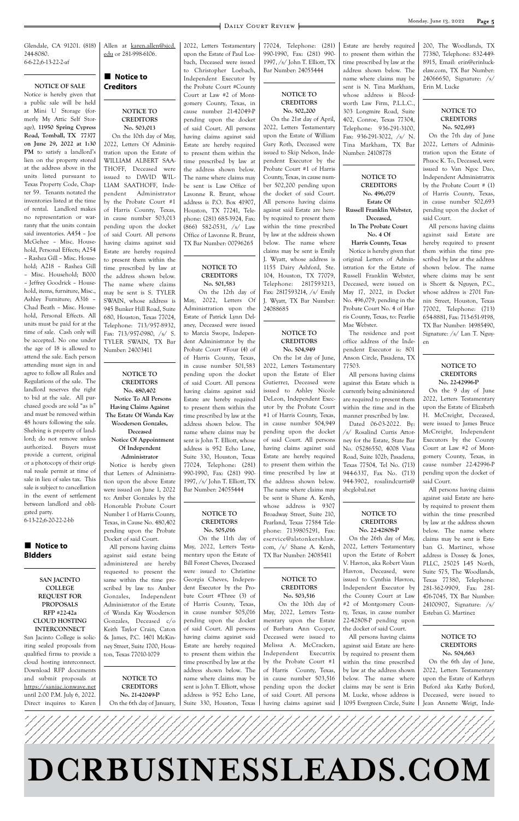**Page 5** DAILY COURT REVIEW



Glendale, CA 91201. (818) 244-8080. 6-6-22;6-13-22-2-af

#### **NOTICE OF SALE**

#### $\blacksquare$  Notice to **BIdders**

Notice is hereby given that a public sale will be held at Mini U Storage (formerly My Attic Self Storage), **11950 Spring Cypress Road, Tomball, TX 77377 on June 29, 2022 at 1:30 PM** to satisfy a landlord's lien on the property stored at the address above in the units listed pursuant to Texas Property Code, Chapter 59. Tenants notated the inventories listed at the time of rental. Landlord makes no representation or warranty that the units contain said inventories. A454 – Joe McGehee – Misc. Household, Personal Effects; A254 – Rashea Gill – Misc. Household; A218 – Rashea Gill – Misc. Household; B000 – Jeffrey Goodrick – Household, items, furniture, Misc., Ashley Furniture; A316 – Chad Beath – Misc. Household, Personal Effects. All units must be paid for at the time of sale. Cash only will be accepted. No one under the age of 18 is allowed to attend the sale. Each person attending must sign in and agree to follow all Rules and Regulations of the sale. The landlord reserves the right to bid at the sale. All purchased goods are sold "as is" and must be removed within 48 hours following the sale. Shelving is property of landlord; do not remove unless authorized. Buyers must provide a current, original or a photocopy of their original resale permit at time of sale in lieu of sales tax. This sale is subject to cancellation in the event of settlement between landlord and obligated party.

Allen at karen.allen@sjcd. edu or 281-998-6106.

#### $\blacksquare$  Notice to **Creditors**

6-13-22;6-20-22-2-bb

**SAN JACINTO COLLEGE REQUEST FOR**

#### **NOTICE TO CREDITORS No. 503,013**

 On the 10th day of May, 2022, Letters Of Administration upon the Estate of WILLIAM ALBERT SAA-THOFF, Deceased were issued to DAVID WIL-LIAM SAATHOFF, Independent Administrator by the Probate Court #1 of Harris County, Texas, in cause number 503,013 pending upon the docket of said Court. All persons having claims against said Estate are hereby required to present them within the time prescribed by law at the address shown below. The name where claims may be sent is S. TYLER SWAIN, whose address is 945 Bunker Hill Road, Suite 680, Houston, Texas 77024, Telephone: 713/957-8932, Fax: 713/957-0980, /s/ S. TYLER SWAIN, TX Bar Number: 24003411

#### **NOTICE TO CREDITORS**

**No. 480,402 Notice To All Persons Having Claims Against The Estate Of Wanda Kay Wooderson Gonzales, Deceased**

**Notice Of Appointment Of Independent**

#### **Administrator**

Notice is hereby given that Letters of Administration upon the above Estate were issued on June 1, 2022 to: Amber Gonzales by the Honorable Probate Court Number 1 of Harris County, Texas, in Cause No. 480,402 pending upon the Probate Docket of said Court.

All persons having claims against said estate being administered are hereby requested to present the same within the time prescribed by law to: Amber Gonzales, Independent 2022, Letters Testamentary upon the Estate of Paul Loebach, Deceased were issued to Christopher Loebach, Independent Executor by the Probate Court #County Court at Law #2 of Montgomery County, Texas, in cause number 21-42049-P pending upon the docket of said Court. All persons having claims against said Estate are hereby required to present them within the time prescribed by law at the address shown below. The name where claims may be sent is Law Office of Lavonne R. Brunt, whose address is P.O. Box 41907, Houston, TX 77241, Telephone: (281) 685-3924, Fax: (866) 582-0531, /s/ Law Office of Lavonne R. Brunt, TX Bar Number: 00796265

#### **NOTICE TO CREDITORS No. 501,583**

 On the 12th day of May, 2022, Letters Of Administration upon the Estate of Patrick Lynn Delaney, Deceased were issued to Marcia Swope, Independent Administrator by the Probate Court #Four (4) of of Harris County, Texas, in cause number 501,583 pending upon the docket of said Court. All persons having claims against said Estate are hereby required to present them within the time prescribed by law at the address shown below. The name where claims may be sent is John T. Elliott, whose address is 952 Echo Lane, Suite 330, Houston, Texas 77024, Telephone: (281) 990-1990, Fax: (281) 990- 1997, /s/ John T. Elliott, TX Bar Number: 24055444

#### **NOTICE TO CREDITORS No. 505,016**

 On the 11th day of May, 2022, Letters Testamentary upon the Estate of Bill Forest Cheves, Deceased were issued to Christine Georgia Cheves, Independent Executor by the Probate Court #Three (3) of 77024, Telephone: (281) 990-1990, Fax: (281) 990- 1997, /s/ John T. Elliott, TX Bar Number: 24055444

#### **NOTICE TO CREDITORS No. 502,200**

 On the 21st day of April, 2022, Letters Testamentary upon the Estate of William Gary Roth, Deceased were issued to Skip Nelson, Independent Executor by the Probate Court #1 of Harris County, Texas, in cause number 502,200 pending upon the docket of said Court. All persons having claims against said Estate are hereby required to present them within the time prescribed by law at the address shown below. The name where claims may be sent is Emily J. Wyatt, whose address is 1155 Dairy Ashford, Ste. 104, Houston, TX 77079, Telephone: 2817593213, Fax: 2817593214, /s/ Emily J. Wyatt, TX Bar Number: 24088685

| <b>PROPOSALS</b>              | Administrator of the Estate   | of Harris County, Texas,       | On the 10th day of         | #2 of Montgomery Coun-        | 24100907, Signature: /s/   |
|-------------------------------|-------------------------------|--------------------------------|----------------------------|-------------------------------|----------------------------|
| RFP #22-42a                   | of Wanda Kay Wooderson        | in cause number 505,016        | May, 2022, Letters Testa-  | ty, Texas, in cause number    | Esteban G. Martinez        |
| <b>CLOUD HOSTING</b>          | Gonzales, Deceased c/o        | pending upon the docket        | mentary upon the Estate    | $22-42808-P$ pending upon     |                            |
| <b>INTERCONNECT</b>           | Keith Taylor Crain, Caton     | of said Court. All persons     | of Barbara Ann Cooper,     | the docket of said Court.     |                            |
| San Jacinto College is solic- | & James, P.C. 1401 McKin-     | having claims against said     | Deceased were issued to    | All persons having claims     | NOTICE TO                  |
| iting sealed proposals from   | ney Street, Suite 1700, Hous- | Estate are hereby required     | Melissa A. McCracken,      | against said Estate are here- | <b>CREDITORS</b>           |
| qualified firms to provide a  | ton, Texas 77010-1079         | to present them within the     | Independent<br>Executrix   | by required to present them   | No. 504,663                |
| cloud hosting interconnect.   |                               | time prescribed by law at the  | by the Probate Court #1    | within the time prescribed    | On the 6th day of June,    |
| Download RFP documents        |                               | address shown below. The       | of Harris County, Texas,   | by law at the address shown   | 2022, Letters Testamentary |
| and submit proposals at       | NOTICE TO                     | name where claims may be       | in cause number 503,516    | below. The name where         | upon the Estate of Kathryn |
| https://sanjac.ionwave.net    | <b>CREDITORS</b>              | sent is John T. Elliott, whose | pending upon the docket    | claims may be sent is Erin    | Buford aka Kathy Buford,   |
| until 2:00 P.M. July 6, 2022. | No. 21-42049-P                | address is 952 Echo Lane.      | of said Court. All persons | M. Lucke, whose address is    | Deceased, were issued to   |
| Direct inquires to Karen      | On the 6th day of January,    | Suite 330, Houston, Texas      | having claims against said | 1095 Evergreen Circle, Suite  | Jean Annette Weigt, Inde-  |
|                               |                               |                                |                            |                               |                            |

#### **NOTICE TO CREDITORS No. 504,949**

 On the 1st day of June, 2022, Letters Testamentary upon the Estate of Elier Gutierrez, Deceased were issued to Ashley Nicole DeLeon, Independent Executor by the Probate Court #1 of Harris County, Texas, in cause number 504,949 pending upon the docket of said Court. All persons having claims against said Estate are hereby required to present them within the time prescribed by law at the address shown below. The name where claims may be sent is Shane A. Kersh, whose address is 9307 Broadway Street, Suite 210, Pearland, Texas 77584 Telephone: 7139805291, Fax: eservice@alstonkershlaw. com, /s/ Shane A. Kersh, TX Bar Number: 24085411

#### **NOTICE TO CREDITORS No. 503,516**

Estate are hereby required to present them within the time prescribed by law at the address shown below. The name where claims may be sent is N. Tina Markham, whose address is Bloodworth Law Firm, P.L.L.C., 303 Longmire Road, Suite 402, Conroe, Texas 77304, Telephone: 936-291-3100, Fax: 936-291-3022, /s/ N. Tina Markham, TX Bar Number: 24108778

**NOTICE TO CREDITORS No. 496,079 Estate Of Russell Franklin Webster, Deceased,**

#### **In The Probate Court No. 4 Of**

**Harris County, Texas** Notice is hereby given that original Letters of Administration for the Estate of Russell Franklin Webster, Deceased, were issued on May 17, 2022, in Docket No. 496,079, pending in the Probate Court No. 4 of Harris County, Texas, to: Pearlie Mae Webster.

The residence and post office address of the Independent Executor is: 801 Anson Circle, Pasadena, TX 77503.

All persons having claims against this Estate which is currently being administered are required to present them within the time and in the manner prescribed by law.

Dated 06-03-2022. By: /s/ Rosalind Curtis Attorney for the Estate, State Bar No. 05286550, 4008 Vista Road, Suite 102b, Pasadena, Texas 77504, Tel No. (713) 944-6337, Fax No. (713) 944-3902, rosalindcurtis@ sbcglobal.net

#### **NOTICE TO CREDITORS No. 22-42808-P**

On the 26th day of May, 2022, Letters Testamentary upon the Estate of Robert V. Havron, aka Robert Vaun Havron, Deceased, were issued to Cynthia Havron, Independent Executor by the County Court at Law 200, The Woodlands, TX 77380, Telephone: 832-449- 8915, Email: erin@erinluckelaw.com, TX Bar Number: 24066650, Signature: /s/ Erin M. Lucke

#### **NOTICE TO CREDITORS No. 502,693**

On the 7th day of June 2022, Letters of Administration upon the Estate of Phuoc K. To, Deceased, were issued to Van Ngoc Dao, Independent Administratrix by the Probate Court # (1) of Harris County, Texas, in cause number 502,693 pending upon the docket of said Court.

All persons having claims against said Estate are hereby required to present them within the time prescribed by law at the address shown below. The name where claims may be sent is Shortt & Nguyen, P.C., whose address is 2701 Fannin Street, Houston, Texas 77002, Telephone: (713) 654-8881, Fax: 713-651-9198, TX Bar Number: 14985490, Signature: /s/ Lan T. Nguyen

#### **NOTICE TO CREDITORS No. 22-42996-P**

On the 9 day of June 2022, Letters Testamentary upon the Estate of Elizabeth H. McCreight, Deceased, were issued to James Bruce McCreight, Independent Executors by the County Court at Law #2 of Montgomery County, Texas, in cause number 22-42996-P pending upon the docket of said Court.

All persons having claims against said Estate are hereby required to present them within the time prescribed by law at the address shown below. The name where claims may be sent is Esteban G. Martinez, whose address is Dossey & Jones, PLLC, 25025 I-45 North, Suite 575, The Woodlands, Texas 77380, Telephone: 281-362-9909, Fax: 281- 476-7045, TX Bar Number: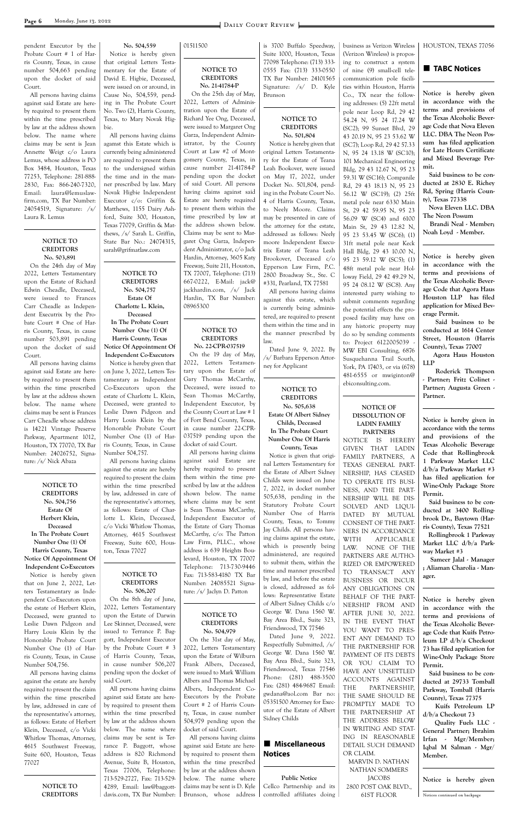pendent Executor by the Probate Court # 1 of Harris County, Texas, in cause number 504,663 pending upon the docket of said Court.

All persons having claims against said Estate are hereby required to present them within the time prescribed by law at the address shown below. The name where claims may be sent is Jean Annette Weigt c/o Laura Lemus, whose address is PO Box 3484, Houston, Texas 77253, Telephone: 281-888- 2830, Fax: 866-240-7320, Email: laura@lemuslawfirm.com, TX Bar Number: 24054519, Signature: /s/ Laura R. Lemus

> **NOTICE TO CREDITORS No. 503,891**

On the 24th day of May 2022, Letters Testamentary upon the Estate of Richard Edwin Cheadle, Deceased, were issued to Frances Carr Cheadle as Independent Executrix by the Probate Court # One of Harris County, Texas, in cause number 503,891 pending upon the docket of said Court.

All persons having claims against said Estate are hereby required to present them within the time prescribed by law at the address shown below. The name where claims may be sent is Frances Carr Cheadle whose address is 14221 Vintage Preserve Parkway, Apartment 1012, Houston, TX 77070, TX Bar Number: 24026752, Signature: /s/ Nick Abaza

**NOTICE TO CREDITORS No. 504,756 Estate Of Herbert Klein, Deceased In The Probate Court Number One (1) Of Harris County, Texas Notice Of Appointment Of Independent Co-Executors** Notice is hereby given that on June 2, 2022, Letters Testamentary as Independent Co-Executors upon

| the estate of Herbert Klein, |  |  |  |  |  |
|------------------------------|--|--|--|--|--|
| Deceased, were granted to    |  |  |  |  |  |
| Leslie Dawn Pidgeon and      |  |  |  |  |  |
| Harry Louis Klein by the     |  |  |  |  |  |
| Honorable Probate Court      |  |  |  |  |  |
| Number One (1) of Har-       |  |  |  |  |  |
| ris County, Texas, in Cause  |  |  |  |  |  |
| Number 504,756.              |  |  |  |  |  |
| All persons having claims    |  |  |  |  |  |

against the estate are hereby required to present the claim within the time prescribed by law, addressed in care of the representative's attorney, as follows: Estate of Herbert Klein, Deceased, c/o Vicki Whitlow Thomas, Attorney, 4615 Southwest Freeway, Suite 600, Houston, Texas 77027

> **NOTICE TO CREDITORS**

**No. 504,559** Notice is hereby given that original Letters Testamentary for the Estate of David E. Higbie, Deceased, were issued on or around, in Cause No, 504,559, pending in The Probate Court No. Two (2), Harris County, Texas, to Mary Novak Higbie.

All persons having claims agamst this Estate which is currently being administered are required to present them to the undersigned within the time and in the manner prescribed by law. Mary Novak Higbie Independent Executor c/o: Griffin & Matthews, 1155 Dairy Ashford, Suite 300, Houston, Texas 77079, Griffin & Matthews, /s/ Sarah L. Griffin, State Bar No.: 24074315, sarah@grifmatlaw.com

**NOTICE TO CREDITORS No. 504,757 Estate Of Charlotte L. Klein, Deceased In The Probate Court Number One (1) Of Harris County, Texas**

**Notice Of Appointment Of Independent Co-Executors**

Notice is hereby given that on June 3, 2022, Letters Testamentary as Independent Co-Executors upon the estate of Charlotte L. Klein, Deceased, were granted to Leslie Dawn Pidgeon and Harry Louis Klein by the Honorable Probate Court Number One (1) of Harris County, Texas, in Cause Number 504,757.

All persons having claims against the estate are hereby required to present the claim within the time prescribed by law, addressed in care of the representative's attorney, as follows: Estate of Charlotte L. Klein, Deceased, c/o Vicki Whitlow Thomas, Attorney, 4615 Southwest Freeway, Suite 600, Houston, Texas 77027

#### **NOTICE TO CREDITORS No. 506,207** On the 8th day of June,

2022, Letters Testamentary upon the Estate of Darwin Lee Skinner, Deceased, were issued to Terrance P. Baggott, Independent Executor by the Probate Court # 3 of Harris County, Texas, in cause number 506,207 pending upon the docket of said Court.

All persons having claims against said Estate are hereby required to present them within the time prescribed by law at the address shown below. The name where claims may be sent is Terrance P. Baggott, whose address is 820 Richmond Avenue, Suite B, Houston, Texas 77006, Telephone: 713-529-2727, Fax: 713-529- 4289, Email: law@baggottdavis.com, TX Bar Number:

 $\blacksquare$  Miscellaneous **Notices**

01511500

#### **NOTICE TO CREDITORS No. 21-41784-P**

 On the 25th day of May, 2022, Letters of Administration upon the Estate of Richard Yee Ong, Deceased, were issued to Margaret Ong Garza, Independent Administrator, by the County Court at Law #2 of Montgomery County, Texas, in cause number 21-41784-P pending upon the docket of said Court. All persons having claims against said Estate are hereby required to present them within the time prescribed by law at the address shown below. Claims may be sent to Margaret Ong Garza, Independent Administrator, c/o Jack Hardin, Attorney, 3605 Katy Freeway, Suite 211, Houston, TX 77007, Telephone: (713) 667-0222, E-Mail: jack@ jackhardin.com, /s/ Jack Hardin, TX Bar Number: 08965300

#### **NOTICE TO CREDITORS No. 22-CPR-037519**

On the 19 day of May, 2022, Letters Testamentary upon the Estate of Gary Thomas McCarthy, Deceased, were issued to Sean Thomas McCarthy, Independent Executor, by the County Court at Law # 1 of Fort Bend County, Texas, in cause number 22-CPR-037519 pending upon the docket of said Court.

> **JACOBS** 2800 POST OAK BLVD., 61ST FLOOR

All persons having claims against said Estate are hereby required to present them within the time prescribed by law at the address shown below. The name where claims may be sent is Sean Thomas McCarthy, Independent Executor of the Estate of Gary Thomas McCarthy, c/o: The Patton Law Firm, PLLC., whose address is 639 Heights Boulevard, Houston, TX 77007 Telephone: 713-730-9446 Fax: 713-583-4180 TX Bar Number: 24085521 Signature: /s/ Jaclyn D. Patton

#### **NOTICE TO CREDITORS No. 504,979** On the 31st day of May,

2022, Letters Testamentary upon the Estate of Wilburn Frank Albers, Deceased, were issued to Mark William Albers and Thomas Michael Albers, Independent Co-Executors by the Probate Court # 2 of Harris County, Texas, in cause number 504,979 pending upon the docket of said Court.

All persons having claims against said Estate are hereby required to present them within the time prescribed by law at the address shown below. The name where claims may be sent is D. Kyle Brunson, whose address is 3700 Buffalo Speedway, Suite 1000, Houston, Texas 77098 Telephone: (713) 333- 0555 Fax: (713) 333-0550 TX Bar Number: 24101565 Signature: /s/ D. Kyle Brunson

#### **NOTICE TO CREDITORS No. 501,804**

Notice is hereby given that original Letters Testamentary for the Estate of Teana Leah Bookover, were issued on May 17, 2022, under Docket No. 501,804, pending in the Probate Court No. 4 of Harris County, Texas, to Neely Moore. Claims may be presented in care of the attorney for the estate, addressed as follows: Neely moore Independent Executrix Estate of Teana Leah Brookover, Deceased c/o Epperson Law Firm, P.C. 2800 Broadway St., Ste. C #331, Pearland, TX 77581

All persons having claims against this estate, which is currently being administered, are required to present them within the time and in the manner prescribed by law.

Dated June 9, 2022. By /s/ Barbara Epperson Attorney for Applicant

**NOTICE TO CREDITORS No. 505,638 Estate Of Albert Sidney Childs, Deceased In The Probate Court Number One Of Harris County, Texas**

Notice is given that original Letters Testamentary for the Estate of Albert Sidney Childs were issued on June 7, 2022, in docket number 505,638, pending in the Statutory Probate Court Number One of Harris County, Texas, to Tommy Jay Childs. All persons having claims against the estate, which is presently being administered, are required to submit them, within the time and manner prescribed by law, and before the estate is closed, addressed as follows: Representative Estate of Albert Sidney Childs c/o George W. Dana 1560 W. Bay Area Blvd., Suite 323, Friendswood, TX 77546 Dated June 9, 2022. Respectfully Submitted, /s/ George W. Dana 1560 W. Bay Area Blvd., Suite 323, Friendswood, Texas 77546 Phone: (281) 488-3500 Fax: (281) 484-9687 Email: gwdana@aol.com Bar no: 05351500 Attorney for Executor of the Estate of Albert Sidney Childs

**Public Notice** Cellco Partnership and its controlled affiliates doing

business as Verizon Wireless (Verizon Wireless) is proposing to construct a system of nine (9) small-cell telecommunication pole facilities within Houston, Harris Co., TX near the following addresses: (5) 22ft metal pole near Loop Rd, 29 42 54.24 N, 95 24 17.24 W (SC2); 99 Sunset Blvd, 29 43 20.19 N, 95 23 53.62 W (SC7); Loop Rd, 29 42 57.33 N, 95 24 13.18 W (SC10); 101 Mechanical Engineering Bldg, 29 43 12.67 N, 95 23 59.31 W (SC16); Companile Rd, 29 43 18.13 N, 95 23 56.12 W (SC19); (2) 25ft metal pole near 6330 Main St, 29 42 59.95 N, 95 23 56.09 W (SC4) and 6100 Main St, 29 43 12.82 N, 95 23 53.45 W (SC6); (1) 31ft metal pole near Keck Hall Bldg, 29 43 10.00 N, 95 23 59.12 W (SC5); (1) 48ft metal pole near Holloway Field, 29 42 49.29 N, 95 24 08.12 W (SC8). Any interested party wishing to submit comments regarding the potential effects the proposed facility may have on any historic property may do so by sending comments to: Project 6122005039 - MW EBI Consulting, 6876 Susquehanna Trail South, York, PA 17403, or via (678) 481-6555 or mwiginton@ ebiconsulting.com.

#### **NOTICE OF DISSOLUTION OF LADIN FAMILY PARTNERS**

NOTICE IS HEREBY GIVEN THAT LADIN FAMILY PARTNERS, A TEXAS GENERAL PART-NERSHIP, HAS CEASED TO OPERATE ITS BUSI-NESS, AND THE PART-NERSHIP WILL BE DIS-SOLVED AND LIQUI-DATED BY MUTUAL CONSENT OF THE PART-NERS IN ACCORDANCE WITH APPLICABLE LAW. NONE OF THE PARTNERS ARE AUTHO-RIZED OR EMPOWERED TO TRANSACT ANY BUSINESS OR INCUR ANY OBLIGATIONS ON BEHALF OF THE PART-NERSHIP FROM AND AFTER JUNE 30, 2022. IN THE EVENT THAT YOU WANT TO PRES-ENT ANY DEMAND TO THE PARTNERSHIP FOR PAYMENT OF ITS DEBTS OR YOU CLAIM TO HAVE ANY UNSETTLED ACCOUNTS AGAINST THE PARTNERSHIP, THE SAME SHOULD BE PROMPTLY MADE TO THE PARTNERSHIP AT THE ADDRESS BELOW IN WRITING AND STAT-ING IN REASONABLE DETAIL SUCH DEMAND OR CLAIM. MARVIN D. NATHAN NATHAN SOMMERS

#### HOUSTON, TEXAS 77056

#### $\blacksquare$  **TABC Notices**

**Notice is hereby given in accordance with the terms and provisions of the Texas Alcoholic Beverage Code that Nova Eleven LLC. DBA The Neon Possum has filed application for Late Hours Certificate and Mixed Beverage Permit.**

 **Said business to be conducted at 2830 E. Richey Rd, Spring (Harris County), Texas 77338**

 **Nova Eleven LLC. DBA The Neon Possum**

 **Brandi Neal - Member; Noah Loyd - Member.**

**Notice is hereby given in accordance with the terms and provisions of the Texas Alcoholic Beverage Code that Agora Haus Houston LLP has filed application for Mixed Beverage Permit.**

 **Said business to be conducted at 1614 Center Street, Houston (Harris County), Texas 77007**

 **Agora Haus Houston LLP**

 **Roderick Thompson - Partner; Fritz Colinet - Partner; Augusta Green - Partner.**

**Notice is hereby given in accordance with the terms and provisions of the Texas Alcoholic Beverage Code that Rollingbrook 1 Parkway Market LLC d/b/a Parkway Market #3 has filed application for Wine-Only Package Store Permit.**

 **Said business to be conducted at 3400 Rollingbrook Dr., Baytown (Harris County), Texas 77521**

 **Rollingbrook 1 Parkway Market LLC d/b/a Parkway Market #3**

 **Sameer Jalal - Manager ; Aliaman Charolia - Manager.**

**Notice is hereby given in accordance with the terms and provisions of the Texas Alcoholic Beverage Code that Kuifs Petroleum LP d/b/a Checkout 73 has filed application for Wine-Only Package Store Permit. Said business to be conducted at 29733 Tomball Parkway, Tomball (Harris County), Texas 77375 Kuifs Petroleum LP** 

**d/b/a Checkout 73 Quality Fuels LLC - General Partner; Ibrahim Irfan - Mgr/Member; Iqbal M Salman - Mgr/ Member.**

**Notice is hereby given** 

Notices continued on backpage